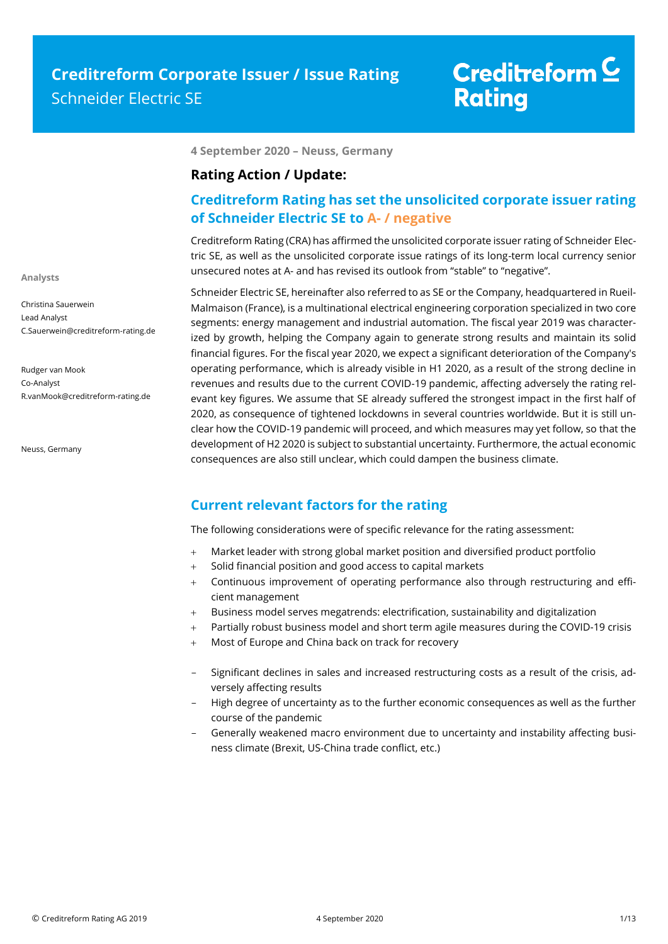**4 September 2020 – Neuss, Germany**

### **Rating Action / Update:**

### **Creditreform Rating has set the unsolicited corporate issuer rating of Schneider Electric SE to A- / negative**

Creditreform Rating (CRA) has affirmed the unsolicited corporate issuer rating of Schneider Electric SE, as well as the unsolicited corporate issue ratings of its long-term local currency senior unsecured notes at A- and has revised its outlook from "stable" to "negative".

Schneider Electric SE, hereinafter also referred to as SE or the Company, headquartered in Rueil-Malmaison (France), is a multinational electrical engineering corporation specialized in two core segments: energy management and industrial automation. The fiscal year 2019 was characterized by growth, helping the Company again to generate strong results and maintain its solid financial figures. For the fiscal year 2020, we expect a significant deterioration of the Company's operating performance, which is already visible in H1 2020, as a result of the strong decline in revenues and results due to the current COVID-19 pandemic, affecting adversely the rating relevant key figures. We assume that SE already suffered the strongest impact in the first half of 2020, as consequence of tightened lockdowns in several countries worldwide. But it is still unclear how the COVID-19 pandemic will proceed, and which measures may yet follow, so that the development of H2 2020 is subject to substantial uncertainty. Furthermore, the actual economic consequences are also still unclear, which could dampen the business climate.

### **Current relevant factors for the rating**

The following considerations were of specific relevance for the rating assessment:

- Market leader with strong global market position and diversified product portfolio
- Solid financial position and good access to capital markets
- Continuous improvement of operating performance also through restructuring and efficient management
- Business model serves megatrends: electrification, sustainability and digitalization
- Partially robust business model and short term agile measures during the COVID-19 crisis
- Most of Europe and China back on track for recovery
- Significant declines in sales and increased restructuring costs as a result of the crisis, adversely affecting results
- High degree of uncertainty as to the further economic consequences as well as the further course of the pandemic
- Generally weakened macro environment due to uncertainty and instability affecting business climate (Brexit, US-China trade conflict, etc.)

**Analysts**

Christina Sauerwein

Lead Analyst C.Sauerwein@creditreform-rating.de

Rudger van Mook Co-Analyst R.vanMook@creditreform-rating.de

Neuss, Germany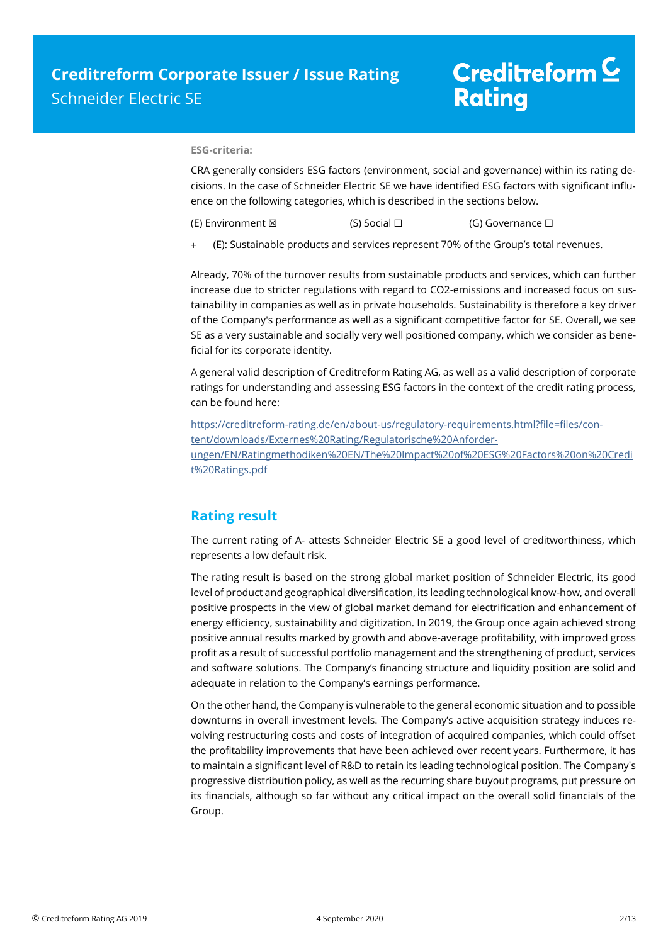#### **ESG-criteria:**

CRA generally considers ESG factors (environment, social and governance) within its rating decisions. In the case of Schneider Electric SE we have identified ESG factors with significant influence on the following categories, which is described in the sections below.

(E) Environment ⊠ (S) Social □ (G) Governance □

(E): Sustainable products and services represent 70% of the Group's total revenues.

Already, 70% of the turnover results from sustainable products and services, which can further increase due to stricter regulations with regard to CO2-emissions and increased focus on sustainability in companies as well as in private households. Sustainability is therefore a key driver of the Company's performance as well as a significant competitive factor for SE. Overall, we see SE as a very sustainable and socially very well positioned company, which we consider as beneficial for its corporate identity.

A general valid description of Creditreform Rating AG, as well as a valid description of corporate ratings for understanding and assessing ESG factors in the context of the credit rating process, can be found here:

https://creditreform-rating.de/en/about-us/regulatory-requirements.html?file=files/content/downloads/Externes%20Rating/Regulatorische%20Anforderungen/EN/Ratingmethodiken%20EN/The%20Impact%20of%20ESG%20Factors%20on%20Credi t%20Ratings.pdf

### **Rating result**

The current rating of A- attests Schneider Electric SE a good level of creditworthiness, which represents a low default risk.

The rating result is based on the strong global market position of Schneider Electric, its good level of product and geographical diversification, its leading technological know-how, and overall positive prospects in the view of global market demand for electrification and enhancement of energy efficiency, sustainability and digitization. In 2019, the Group once again achieved strong positive annual results marked by growth and above-average profitability, with improved gross profit as a result of successful portfolio management and the strengthening of product, services and software solutions. The Company's financing structure and liquidity position are solid and adequate in relation to the Company's earnings performance.

On the other hand, the Company is vulnerable to the general economic situation and to possible downturns in overall investment levels. The Company's active acquisition strategy induces revolving restructuring costs and costs of integration of acquired companies, which could offset the profitability improvements that have been achieved over recent years. Furthermore, it has to maintain a significant level of R&D to retain its leading technological position. The Company's progressive distribution policy, as well as the recurring share buyout programs, put pressure on its financials, although so far without any critical impact on the overall solid financials of the Group.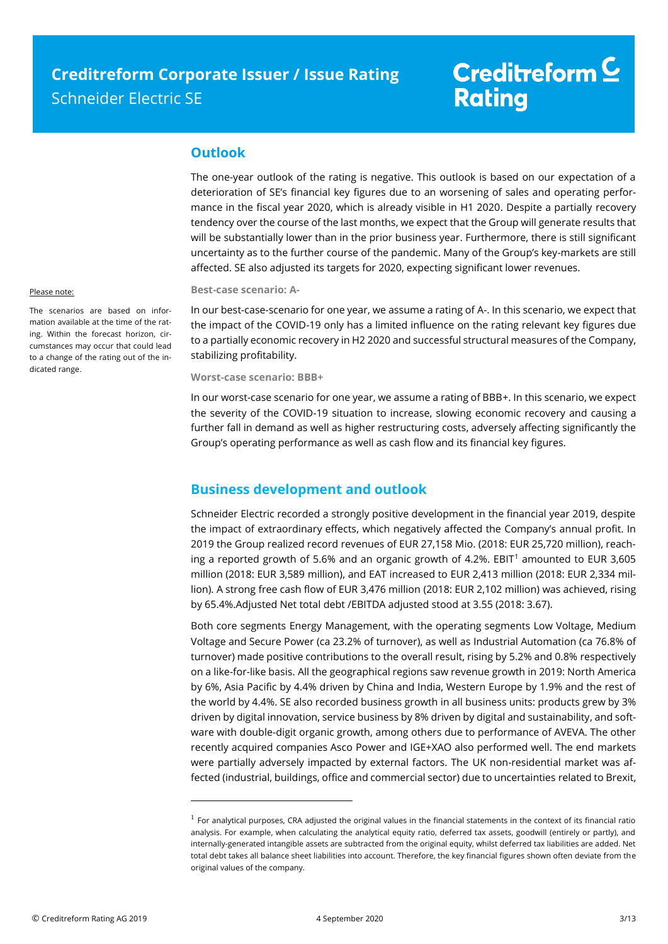### **Outlook**

The one-year outlook of the rating is negative. This outlook is based on our expectation of a deterioration of SE's financial key figures due to an worsening of sales and operating performance in the fiscal year 2020, which is already visible in H1 2020. Despite a partially recovery tendency over the course of the last months, we expect that the Group will generate results that will be substantially lower than in the prior business year. Furthermore, there is still significant uncertainty as to the further course of the pandemic. Many of the Group's key-markets are still affected. SE also adjusted its targets for 2020, expecting significant lower revenues.

### **Best-case scenario: A-**

In our best-case-scenario for one year, we assume a rating of A-. In this scenario, we expect that the impact of the COVID-19 only has a limited influence on the rating relevant key figures due to a partially economic recovery in H2 2020 and successful structural measures of the Company, stabilizing profitability.

**Worst-case scenario: BBB+**

In our worst-case scenario for one year, we assume a rating of BBB+. In this scenario, we expect the severity of the COVID-19 situation to increase, slowing economic recovery and causing a further fall in demand as well as higher restructuring costs, adversely affecting significantly the Group's operating performance as well as cash flow and its financial key figures.

### **Business development and outlook**

Schneider Electric recorded a strongly positive development in the financial year 2019, despite the impact of extraordinary effects, which negatively affected the Company's annual profit. In 2019 the Group realized record revenues of EUR 27,158 Mio. (2018: EUR 25,720 million), reaching a reported growth of 5.6% and an organic growth of 4.2%. EBIT<sup>1</sup> amounted to EUR 3,605 million (2018: EUR 3,589 million), and EAT increased to EUR 2,413 million (2018: EUR 2,334 million). A strong free cash flow of EUR 3,476 million (2018: EUR 2,102 million) was achieved, rising by 65.4%.Adjusted Net total debt /EBITDA adjusted stood at 3.55 (2018: 3.67).

Both core segments Energy Management, with the operating segments Low Voltage, Medium Voltage and Secure Power (ca 23.2% of turnover), as well as Industrial Automation (ca 76.8% of turnover) made positive contributions to the overall result, rising by 5.2% and 0.8% respectively on a like-for-like basis. All the geographical regions saw revenue growth in 2019: North America by 6%, Asia Pacific by 4.4% driven by China and India, Western Europe by 1.9% and the rest of the world by 4.4%. SE also recorded business growth in all business units: products grew by 3% driven by digital innovation, service business by 8% driven by digital and sustainability, and software with double-digit organic growth, among others due to performance of AVEVA. The other recently acquired companies Asco Power and IGE+XAO also performed well. The end markets were partially adversely impacted by external factors. The UK non-residential market was affected (industrial, buildings, office and commercial sector) due to uncertainties related to Brexit,

#### Please note:

The scenarios are based on information available at the time of the rating. Within the forecast horizon, circumstances may occur that could lead to a change of the rating out of the indicated range.

 $\overline{a}$ 

 $<sup>1</sup>$  For analytical purposes, CRA adjusted the original values in the financial statements in the context of its financial ratio</sup> analysis. For example, when calculating the analytical equity ratio, deferred tax assets, goodwill (entirely or partly), and internally-generated intangible assets are subtracted from the original equity, whilst deferred tax liabilities are added. Net total debt takes all balance sheet liabilities into account. Therefore, the key financial figures shown often deviate from the original values of the company.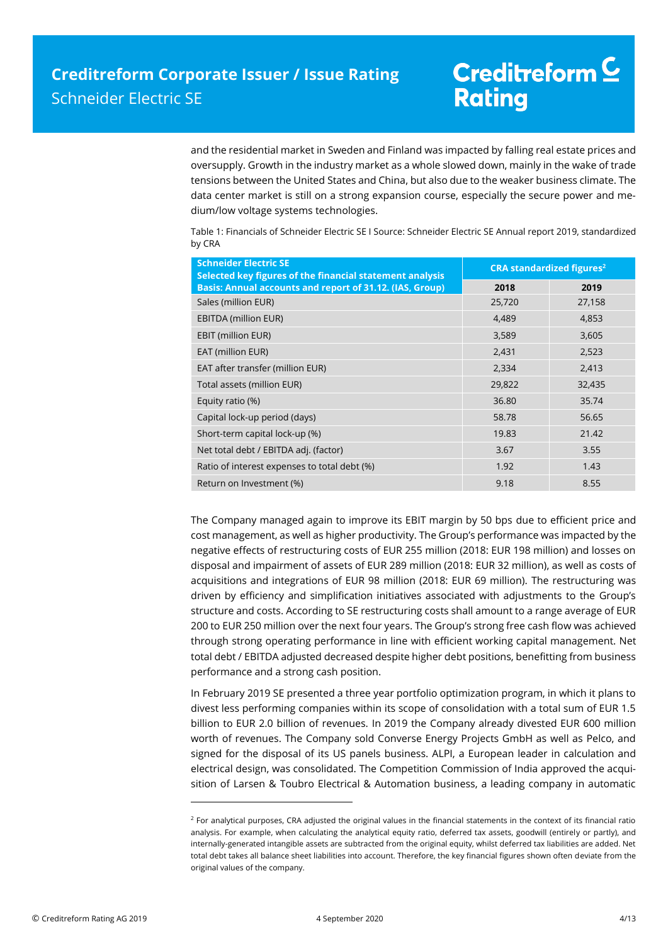and the residential market in Sweden and Finland was impacted by falling real estate prices and oversupply. Growth in the industry market as a whole slowed down, mainly in the wake of trade tensions between the United States and China, but also due to the weaker business climate. The data center market is still on a strong expansion course, especially the secure power and medium/low voltage systems technologies.

Table 1: Financials of Schneider Electric SE I Source: Schneider Electric SE Annual report 2019, standardized by CRA

| <b>Schneider Electric SE</b><br>Selected key figures of the financial statement analysis | <b>CRA standardized figures<sup>2</sup></b> |        |  |
|------------------------------------------------------------------------------------------|---------------------------------------------|--------|--|
| Basis: Annual accounts and report of 31.12. (IAS, Group)                                 | 2018                                        | 2019   |  |
| Sales (million EUR)                                                                      | 25,720                                      | 27,158 |  |
| <b>EBITDA (million EUR)</b>                                                              | 4,489                                       | 4,853  |  |
| EBIT (million EUR)                                                                       | 3,589                                       | 3,605  |  |
| EAT (million EUR)                                                                        | 2,431                                       | 2,523  |  |
| EAT after transfer (million EUR)                                                         | 2,334                                       | 2,413  |  |
| Total assets (million EUR)                                                               | 29,822                                      | 32,435 |  |
| Equity ratio (%)                                                                         | 36.80                                       | 35.74  |  |
| Capital lock-up period (days)                                                            | 58.78                                       | 56.65  |  |
| Short-term capital lock-up (%)                                                           | 19.83                                       | 21.42  |  |
| Net total debt / EBITDA adj. (factor)                                                    | 3.67                                        | 3.55   |  |
| Ratio of interest expenses to total debt (%)                                             | 1.92                                        | 1.43   |  |
| Return on Investment (%)                                                                 | 9.18                                        | 8.55   |  |

The Company managed again to improve its EBIT margin by 50 bps due to efficient price and cost management, as well as higher productivity. The Group's performance was impacted by the negative effects of restructuring costs of EUR 255 million (2018: EUR 198 million) and losses on disposal and impairment of assets of EUR 289 million (2018: EUR 32 million), as well as costs of acquisitions and integrations of EUR 98 million (2018: EUR 69 million). The restructuring was driven by efficiency and simplification initiatives associated with adjustments to the Group's structure and costs. According to SE restructuring costs shall amount to a range average of EUR 200 to EUR 250 million over the next four years. The Group's strong free cash flow was achieved through strong operating performance in line with efficient working capital management. Net total debt / EBITDA adjusted decreased despite higher debt positions, benefitting from business performance and a strong cash position.

In February 2019 SE presented a three year portfolio optimization program, in which it plans to divest less performing companies within its scope of consolidation with a total sum of EUR 1.5 billion to EUR 2.0 billion of revenues. In 2019 the Company already divested EUR 600 million worth of revenues. The Company sold Converse Energy Projects GmbH as well as Pelco, and signed for the disposal of its US panels business. ALPI, a European leader in calculation and electrical design, was consolidated. The Competition Commission of India approved the acquisition of Larsen & Toubro Electrical & Automation business, a leading company in automatic

 $\overline{a}$ 

 $2$  For analytical purposes, CRA adjusted the original values in the financial statements in the context of its financial ratio analysis. For example, when calculating the analytical equity ratio, deferred tax assets, goodwill (entirely or partly), and internally-generated intangible assets are subtracted from the original equity, whilst deferred tax liabilities are added. Net total debt takes all balance sheet liabilities into account. Therefore, the key financial figures shown often deviate from the original values of the company.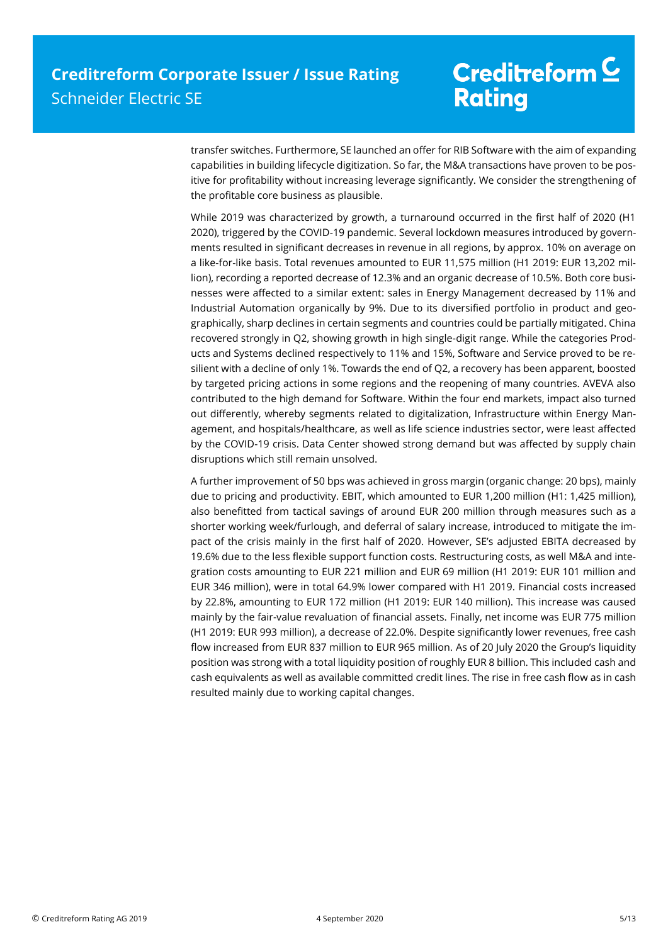transfer switches. Furthermore, SE launched an offer for RIB Software with the aim of expanding capabilities in building lifecycle digitization. So far, the M&A transactions have proven to be positive for profitability without increasing leverage significantly. We consider the strengthening of the profitable core business as plausible.

While 2019 was characterized by growth, a turnaround occurred in the first half of 2020 (H1 2020), triggered by the COVID-19 pandemic. Several lockdown measures introduced by governments resulted in significant decreases in revenue in all regions, by approx. 10% on average on a like-for-like basis. Total revenues amounted to EUR 11,575 million (H1 2019: EUR 13,202 million), recording a reported decrease of 12.3% and an organic decrease of 10.5%. Both core businesses were affected to a similar extent: sales in Energy Management decreased by 11% and Industrial Automation organically by 9%. Due to its diversified portfolio in product and geographically, sharp declines in certain segments and countries could be partially mitigated. China recovered strongly in Q2, showing growth in high single-digit range. While the categories Products and Systems declined respectively to 11% and 15%, Software and Service proved to be resilient with a decline of only 1%. Towards the end of Q2, a recovery has been apparent, boosted by targeted pricing actions in some regions and the reopening of many countries. AVEVA also contributed to the high demand for Software. Within the four end markets, impact also turned out differently, whereby segments related to digitalization, Infrastructure within Energy Management, and hospitals/healthcare, as well as life science industries sector, were least affected by the COVID-19 crisis. Data Center showed strong demand but was affected by supply chain disruptions which still remain unsolved.

A further improvement of 50 bps was achieved in gross margin (organic change: 20 bps), mainly due to pricing and productivity. EBIT, which amounted to EUR 1,200 million (H1: 1,425 million), also benefitted from tactical savings of around EUR 200 million through measures such as a shorter working week/furlough, and deferral of salary increase, introduced to mitigate the impact of the crisis mainly in the first half of 2020. However, SE's adjusted EBITA decreased by 19.6% due to the less flexible support function costs. Restructuring costs, as well M&A and integration costs amounting to EUR 221 million and EUR 69 million (H1 2019: EUR 101 million and EUR 346 million), were in total 64.9% lower compared with H1 2019. Financial costs increased by 22.8%, amounting to EUR 172 million (H1 2019: EUR 140 million). This increase was caused mainly by the fair-value revaluation of financial assets. Finally, net income was EUR 775 million (H1 2019: EUR 993 million), a decrease of 22.0%. Despite significantly lower revenues, free cash flow increased from EUR 837 million to EUR 965 million. As of 20 July 2020 the Group's liquidity position was strong with a total liquidity position of roughly EUR 8 billion. This included cash and cash equivalents as well as available committed credit lines. The rise in free cash flow as in cash resulted mainly due to working capital changes.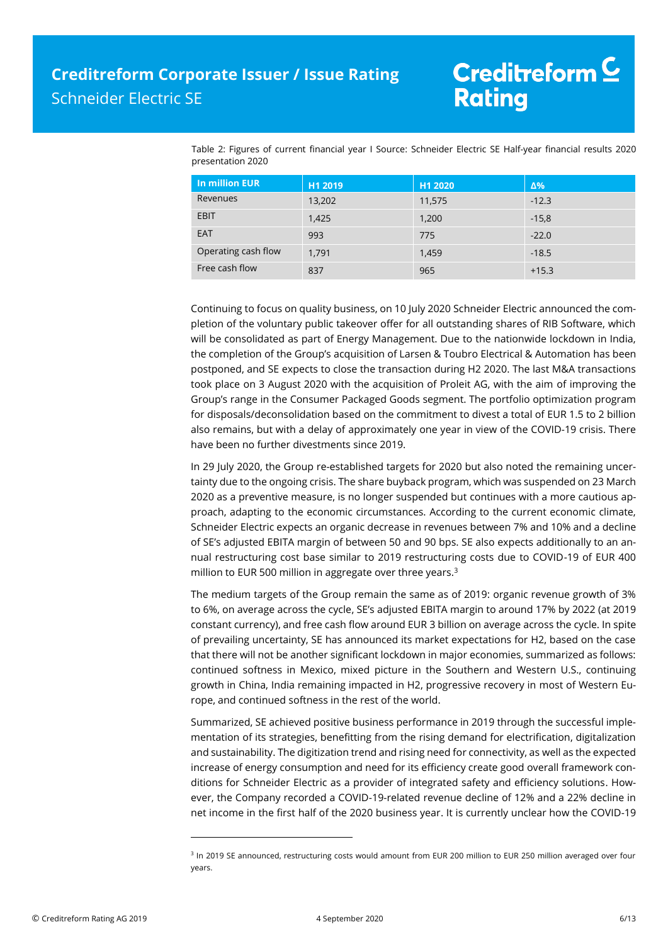Table 2: Figures of current financial year I Source: Schneider Electric SE Half-year financial results 2020 presentation 2020

| In million EUR      | H1 2019 | H1 2020 | $\Delta\%$ |
|---------------------|---------|---------|------------|
| Revenues            | 13,202  | 11,575  | $-12.3$    |
| EBIT                | 1,425   | 1,200   | $-15,8$    |
| EAT                 | 993     | 775     | $-22.0$    |
| Operating cash flow | 1,791   | 1,459   | $-18.5$    |
| Free cash flow      | 837     | 965     | $+15.3$    |

Continuing to focus on quality business, on 10 July 2020 Schneider Electric announced the completion of the voluntary public takeover offer for all outstanding shares of RIB Software, which will be consolidated as part of Energy Management. Due to the nationwide lockdown in India, the completion of the Group's acquisition of Larsen & Toubro Electrical & Automation has been postponed, and SE expects to close the transaction during H2 2020. The last M&A transactions took place on 3 August 2020 with the acquisition of Proleit AG, with the aim of improving the Group's range in the Consumer Packaged Goods segment. The portfolio optimization program for disposals/deconsolidation based on the commitment to divest a total of EUR 1.5 to 2 billion also remains, but with a delay of approximately one year in view of the COVID-19 crisis. There have been no further divestments since 2019.

In 29 July 2020, the Group re-established targets for 2020 but also noted the remaining uncertainty due to the ongoing crisis. The share buyback program, which was suspended on 23 March 2020 as a preventive measure, is no longer suspended but continues with a more cautious approach, adapting to the economic circumstances. According to the current economic climate, Schneider Electric expects an organic decrease in revenues between 7% and 10% and a decline of SE's adjusted EBITA margin of between 50 and 90 bps. SE also expects additionally to an annual restructuring cost base similar to 2019 restructuring costs due to COVID-19 of EUR 400 million to EUR 500 million in aggregate over three years.<sup>3</sup>

The medium targets of the Group remain the same as of 2019: organic revenue growth of 3% to 6%, on average across the cycle, SE's adjusted EBITA margin to around 17% by 2022 (at 2019 constant currency), and free cash flow around EUR 3 billion on average across the cycle. In spite of prevailing uncertainty, SE has announced its market expectations for H2, based on the case that there will not be another significant lockdown in major economies, summarized as follows: continued softness in Mexico, mixed picture in the Southern and Western U.S., continuing growth in China, India remaining impacted in H2, progressive recovery in most of Western Europe, and continued softness in the rest of the world.

Summarized, SE achieved positive business performance in 2019 through the successful implementation of its strategies, benefitting from the rising demand for electrification, digitalization and sustainability. The digitization trend and rising need for connectivity, as well as the expected increase of energy consumption and need for its efficiency create good overall framework conditions for Schneider Electric as a provider of integrated safety and efficiency solutions. However, the Company recorded a COVID-19-related revenue decline of 12% and a 22% decline in net income in the first half of the 2020 business year. It is currently unclear how the COVID-19

 $\overline{a}$ 

<sup>&</sup>lt;sup>3</sup> In 2019 SE announced, restructuring costs would amount from EUR 200 million to EUR 250 million averaged over four years.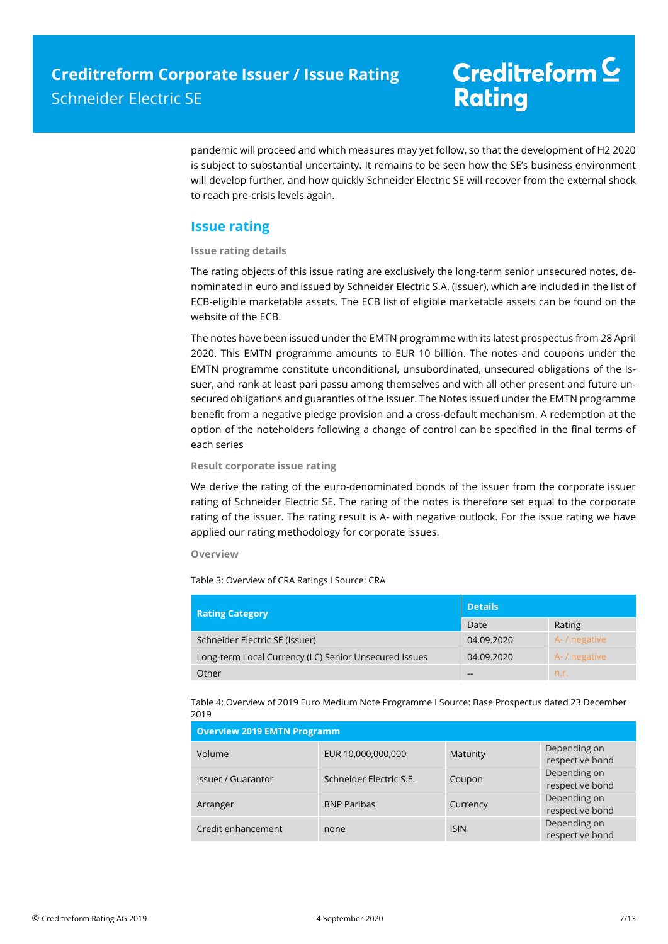pandemic will proceed and which measures may yet follow, so that the development of H2 2020 is subject to substantial uncertainty. It remains to be seen how the SE's business environment will develop further, and how quickly Schneider Electric SE will recover from the external shock to reach pre-crisis levels again.

### **Issue rating**

### **Issue rating details**

The rating objects of this issue rating are exclusively the long-term senior unsecured notes, denominated in euro and issued by Schneider Electric S.A. (issuer), which are included in the list of ECB-eligible marketable assets. The ECB list of eligible marketable assets can be found on the website of the ECB.

The notes have been issued under the EMTN programme with its latest prospectus from 28 April 2020. This EMTN programme amounts to EUR 10 billion. The notes and coupons under the EMTN programme constitute unconditional, unsubordinated, unsecured obligations of the Issuer, and rank at least pari passu among themselves and with all other present and future unsecured obligations and guaranties of the Issuer. The Notes issued under the EMTN programme benefit from a negative pledge provision and a cross-default mechanism. A redemption at the option of the noteholders following a change of control can be specified in the final terms of each series

#### **Result corporate issue rating**

We derive the rating of the euro-denominated bonds of the issuer from the corporate issuer rating of Schneider Electric SE. The rating of the notes is therefore set equal to the corporate rating of the issuer. The rating result is A- with negative outlook. For the issue rating we have applied our rating methodology for corporate issues.

#### **Overview**

Table 3: Overview of CRA Ratings I Source: CRA

| <b>Rating Category</b>                                | <b>Details</b> |               |  |
|-------------------------------------------------------|----------------|---------------|--|
|                                                       | Date           | Rating        |  |
| Schneider Electric SE (Issuer)                        | 04.09.2020     | A- / negative |  |
| Long-term Local Currency (LC) Senior Unsecured Issues | 04.09.2020     | A- / negative |  |
| Other                                                 | --             | n.r.          |  |

Table 4: Overview of 2019 Euro Medium Note Programme I Source: Base Prospectus dated 23 December 2019

| <b>Overview 2019 EMTN Programm</b> |                         |             |                                 |
|------------------------------------|-------------------------|-------------|---------------------------------|
| Volume                             | EUR 10,000,000,000      | Maturity    | Depending on<br>respective bond |
| <b>Issuer / Guarantor</b>          | Schneider Electric S.E. | Coupon      | Depending on<br>respective bond |
| Arranger                           | <b>BNP Paribas</b>      | Currency    | Depending on<br>respective bond |
| Credit enhancement                 | none                    | <b>ISIN</b> | Depending on<br>respective bond |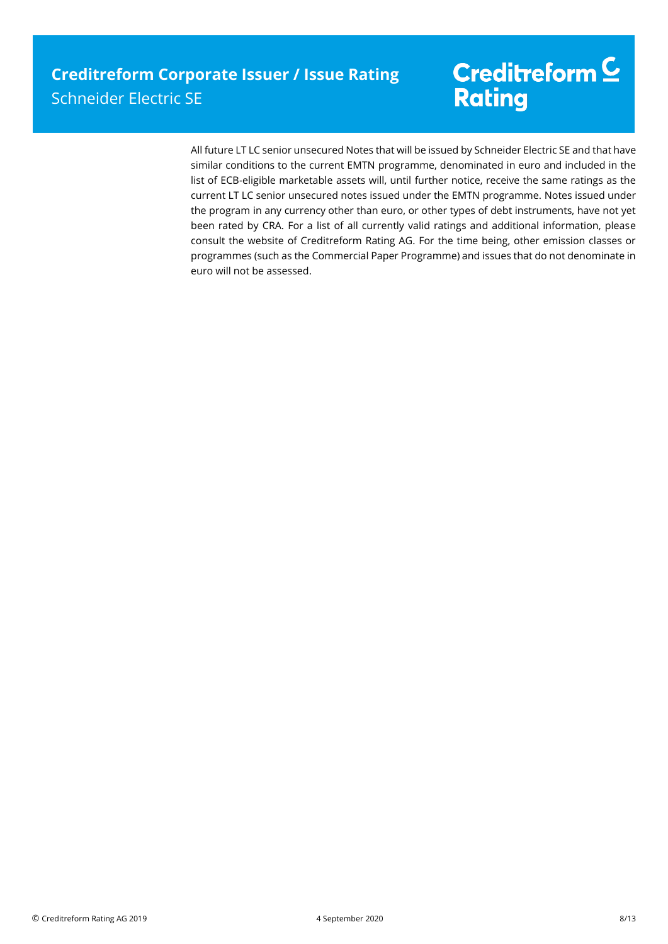All future LT LC senior unsecured Notes that will be issued by Schneider Electric SE and that have similar conditions to the current EMTN programme, denominated in euro and included in the list of ECB-eligible marketable assets will, until further notice, receive the same ratings as the current LT LC senior unsecured notes issued under the EMTN programme. Notes issued under the program in any currency other than euro, or other types of debt instruments, have not yet been rated by CRA. For a list of all currently valid ratings and additional information, please consult the website of Creditreform Rating AG. For the time being, other emission classes or programmes (such as the Commercial Paper Programme) and issues that do not denominate in euro will not be assessed.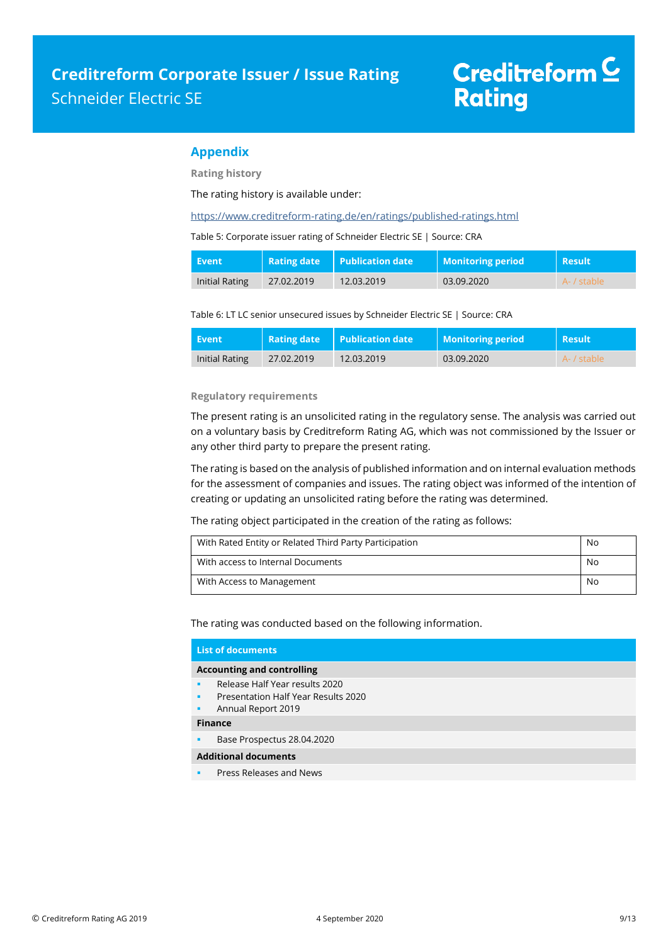### **Appendix**

**Rating history**

The rating history is available under:

<https://www.creditreform-rating.de/en/ratings/published-ratings.html>

Table 5: Corporate issuer rating of Schneider Electric SE | Source: CRA

| Event          | Rating date | <b>Publication date</b> | <b>Monitoring period</b> | <b>Result</b> |
|----------------|-------------|-------------------------|--------------------------|---------------|
| Initial Rating | 27.02.2019  | 12.03.2019              | 03.09.2020               | A- / stable   |

Table 6: LT LC senior unsecured issues by Schneider Electric SE | Source: CRA

| Event          |            | <b>Rating date</b> Publication date | <b>Monitoring period</b> | <b>Result</b> |
|----------------|------------|-------------------------------------|--------------------------|---------------|
| Initial Rating | 27.02.2019 | 12.03.2019                          | 03.09.2020               | A- / stable   |

#### **Regulatory requirements**

The present rating is an unsolicited rating in the regulatory sense. The analysis was carried out on a voluntary basis by Creditreform Rating AG, which was not commissioned by the Issuer or any other third party to prepare the present rating.

The rating is based on the analysis of published information and on internal evaluation methods for the assessment of companies and issues. The rating object was informed of the intention of creating or updating an unsolicited rating before the rating was determined.

The rating object participated in the creation of the rating as follows:

| With Rated Entity or Related Third Party Participation | No |
|--------------------------------------------------------|----|
| With access to Internal Documents                      | No |
| With Access to Management                              | No |

The rating was conducted based on the following information.

|   | <b>List of documents</b>                   |
|---|--------------------------------------------|
|   | <b>Accounting and controlling</b>          |
| ٠ | Release Half Year results 2020             |
| ٠ | <b>Presentation Half Year Results 2020</b> |
| ٠ | Annual Report 2019                         |
|   | <b>Finance</b>                             |
| ٠ | Base Prospectus 28.04.2020                 |
|   | <b>Additional documents</b>                |
| ٠ | Press Releases and News                    |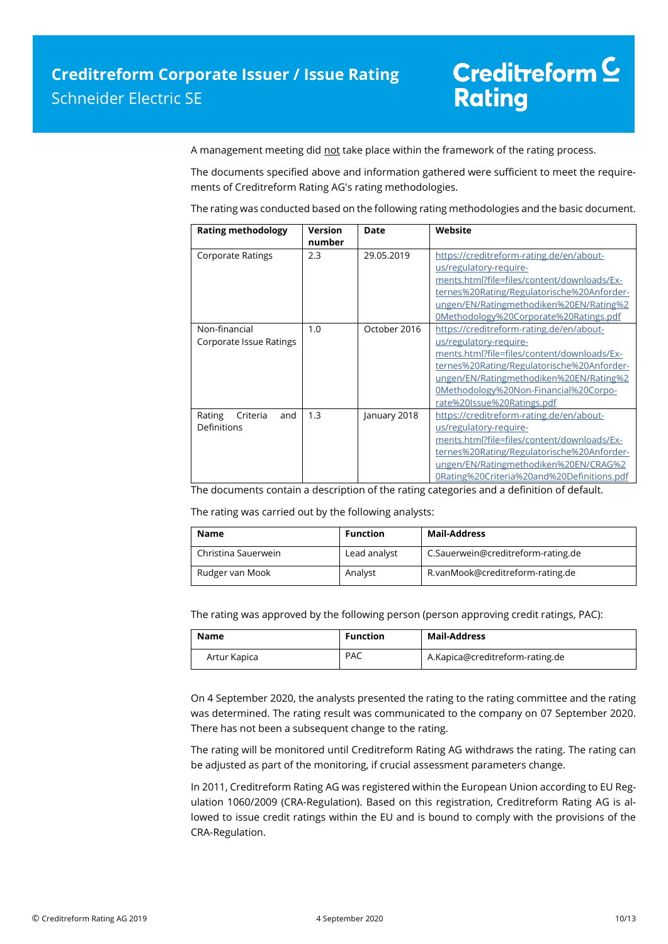A management meeting did not take place within the framework of the rating process.

The documents specified above and information gathered were sufficient to meet the requirements of Creditreform Rating AG's rating methodologies.

The rating was conducted based on the following rating methodologies and the basic document.

| <b>Rating methodology</b>      | <b>Version</b> | <b>Date</b>  | Website                                     |
|--------------------------------|----------------|--------------|---------------------------------------------|
|                                | number         |              |                                             |
| <b>Corporate Ratings</b>       | 2.3            | 29.05.2019   | https://creditreform-rating.de/en/about-    |
|                                |                |              | us/regulatory-require-                      |
|                                |                |              | ments.html?file=files/content/downloads/Ex- |
|                                |                |              | ternes%20Rating/Regulatorische%20Anforder-  |
|                                |                |              | ungen/EN/Ratingmethodiken%20EN/Rating%2     |
|                                |                |              | 0Methodology%20Corporate%20Ratings.pdf      |
| Non-financial                  | 1.0            | October 2016 | https://creditreform-rating.de/en/about-    |
| <b>Corporate Issue Ratings</b> |                |              | us/regulatory-require-                      |
|                                |                |              | ments.html?file=files/content/downloads/Ex- |
|                                |                |              | ternes%20Rating/Regulatorische%20Anforder-  |
|                                |                |              | ungen/EN/Ratingmethodiken%20EN/Rating%2     |
|                                |                |              | 0Methodology%20Non-Financial%20Corpo-       |
|                                |                |              | rate%20Issue%20Ratings.pdf                  |
| Rating<br>Criteria<br>and      | 1.3            | January 2018 | https://creditreform-rating.de/en/about-    |
| Definitions                    |                |              | us/regulatory-require-                      |
|                                |                |              | ments.html?file=files/content/downloads/Ex- |
|                                |                |              | ternes%20Rating/Regulatorische%20Anforder-  |
|                                |                |              | ungen/EN/Ratingmethodiken%20EN/CRAG%2       |
|                                |                |              | 0Rating%20Criteria%20and%20Definitions.pdf  |

The documents contain a description of the rating categories and a definition of default.

The rating was carried out by the following analysts:

| <b>Name</b>         | <b>Function</b> | <b>Mail-Address</b>                |
|---------------------|-----------------|------------------------------------|
| Christina Sauerwein | Lead analyst    | C.Sauerwein@creditreform-rating.de |
| Rudger van Mook     | Analyst         | R.vanMook@creditreform-rating.de   |

The rating was approved by the following person (person approving credit ratings, PAC):

| Name         | <b>Function</b> | Mail-Address                    |
|--------------|-----------------|---------------------------------|
| Artur Kapica | <b>PAC</b>      | A.Kapica@creditreform-rating.de |

On 4 September 2020, the analysts presented the rating to the rating committee and the rating was determined. The rating result was communicated to the company on 07 September 2020. There has not been a subsequent change to the rating.

The rating will be monitored until Creditreform Rating AG withdraws the rating. The rating can be adjusted as part of the monitoring, if crucial assessment parameters change.

In 2011, Creditreform Rating AG was registered within the European Union according to EU Regulation 1060/2009 (CRA-Regulation). Based on this registration, Creditreform Rating AG is allowed to issue credit ratings within the EU and is bound to comply with the provisions of the CRA-Regulation.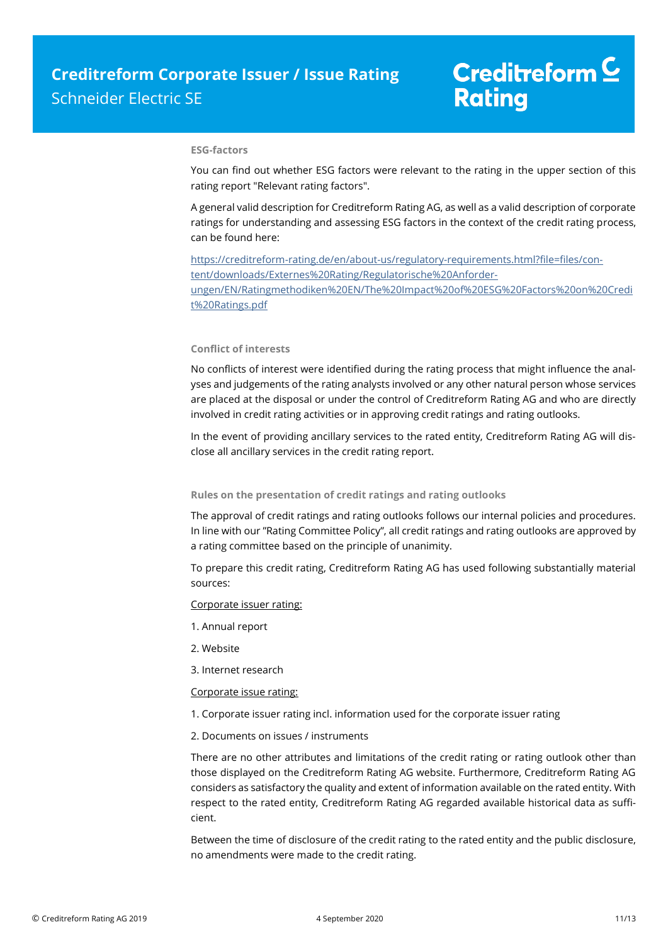#### **ESG-factors**

You can find out whether ESG factors were relevant to the rating in the upper section of this rating report "Relevant rating factors".

A general valid description for Creditreform Rating AG, as well as a valid description of corporate ratings for understanding and assessing ESG factors in the context of the credit rating process, can be found here:

https://creditreform-rating.de/en/about-us/regulatory-requirements.html?file=files/content/downloads/Externes%20Rating/Regulatorische%20Anforderungen/EN/Ratingmethodiken%20EN/The%20Impact%20of%20ESG%20Factors%20on%20Credi t%20Ratings.pdf

#### **Conflict of interests**

No conflicts of interest were identified during the rating process that might influence the analyses and judgements of the rating analysts involved or any other natural person whose services are placed at the disposal or under the control of Creditreform Rating AG and who are directly involved in credit rating activities or in approving credit ratings and rating outlooks.

In the event of providing ancillary services to the rated entity, Creditreform Rating AG will disclose all ancillary services in the credit rating report.

#### **Rules on the presentation of credit ratings and rating outlooks**

The approval of credit ratings and rating outlooks follows our internal policies and procedures. In line with our "Rating Committee Policy", all credit ratings and rating outlooks are approved by a rating committee based on the principle of unanimity.

To prepare this credit rating, Creditreform Rating AG has used following substantially material sources:

#### Corporate issuer rating:

- 1. Annual report
- 2. Website
- 3. Internet research

#### Corporate issue rating:

- 1. Corporate issuer rating incl. information used for the corporate issuer rating
- 2. Documents on issues / instruments

There are no other attributes and limitations of the credit rating or rating outlook other than those displayed on the Creditreform Rating AG website. Furthermore, Creditreform Rating AG considers as satisfactory the quality and extent of information available on the rated entity. With respect to the rated entity, Creditreform Rating AG regarded available historical data as sufficient.

Between the time of disclosure of the credit rating to the rated entity and the public disclosure, no amendments were made to the credit rating.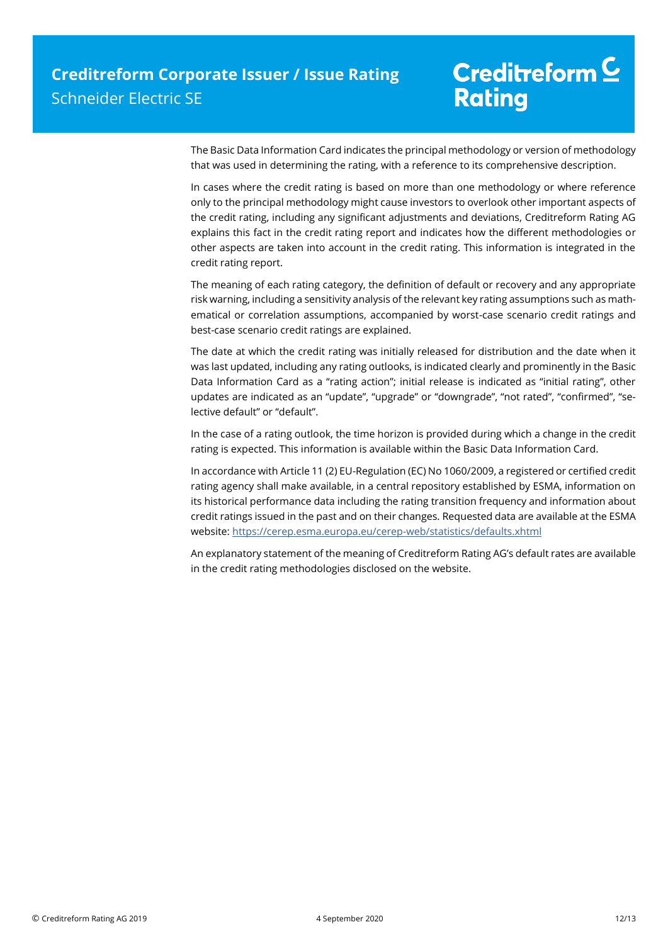The Basic Data Information Card indicates the principal methodology or version of methodology that was used in determining the rating, with a reference to its comprehensive description.

In cases where the credit rating is based on more than one methodology or where reference only to the principal methodology might cause investors to overlook other important aspects of the credit rating, including any significant adjustments and deviations, Creditreform Rating AG explains this fact in the credit rating report and indicates how the different methodologies or other aspects are taken into account in the credit rating. This information is integrated in the credit rating report.

The meaning of each rating category, the definition of default or recovery and any appropriate risk warning, including a sensitivity analysis of the relevant key rating assumptions such as mathematical or correlation assumptions, accompanied by worst-case scenario credit ratings and best-case scenario credit ratings are explained.

The date at which the credit rating was initially released for distribution and the date when it was last updated, including any rating outlooks, is indicated clearly and prominently in the Basic Data Information Card as a "rating action"; initial release is indicated as "initial rating", other updates are indicated as an "update", "upgrade" or "downgrade", "not rated", "confirmed", "selective default" or "default".

In the case of a rating outlook, the time horizon is provided during which a change in the credit rating is expected. This information is available within the Basic Data Information Card.

In accordance with Article 11 (2) EU-Regulation (EC) No 1060/2009, a registered or certified credit rating agency shall make available, in a central repository established by ESMA, information on its historical performance data including the rating transition frequency and information about credit ratings issued in the past and on their changes. Requested data are available at the ESMA website: https://cerep.esma.europa.eu/cerep-web/statistics/defaults.xhtml

An explanatory statement of the meaning of Creditreform Rating AG's default rates are available in the credit rating methodologies disclosed on the website.